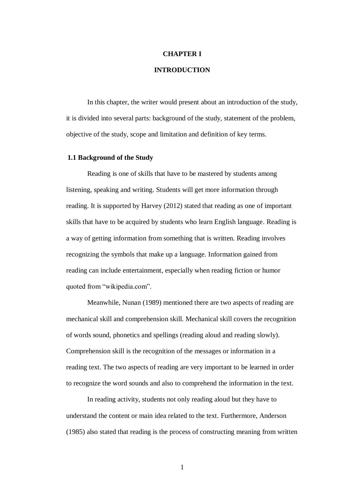# **CHAPTER I**

# **INTRODUCTION**

In this chapter, the writer would present about an introduction of the study, it is divided into several parts: background of the study, statement of the problem, objective of the study, scope and limitation and definition of key terms.

#### **1.1 Background of the Study**

Reading is one of skills that have to be mastered by students among listening, speaking and writing. Students will get more information through reading. It is supported by Harvey (2012) stated that reading as one of important skills that have to be acquired by students who learn English language. Reading is a way of getting [information](http://simple.wikipedia.org/wiki/Information) from something that is [written.](http://simple.wikipedia.org/wiki/Writing) Reading involves recognizing the [symbols](http://simple.wikipedia.org/wiki/Symbol) that make up a [language.](http://simple.wikipedia.org/wiki/Language) Information gained from reading can include [entertainment,](http://simple.wikipedia.org/wiki/Entertainment) especially when reading [fiction](http://simple.wikipedia.org/wiki/Fiction) or [humor](http://simple.wikipedia.org/wiki/Humor) quoted from "wikipedia.com".

Meanwhile, Nunan (1989) mentioned there are two aspects of reading are mechanical skill and comprehension skill. Mechanical skill covers the recognition of words sound, phonetics and spellings (reading aloud and reading slowly). Comprehension skill is the recognition of the messages or information in a reading text. The two aspects of reading are very important to be learned in order to recognize the word sounds and also to comprehend the information in the text.

In reading activity, students not only reading aloud but they have to understand the content or main idea related to the text. Furthermore, Anderson (1985) also stated that reading is the process of constructing meaning from written

1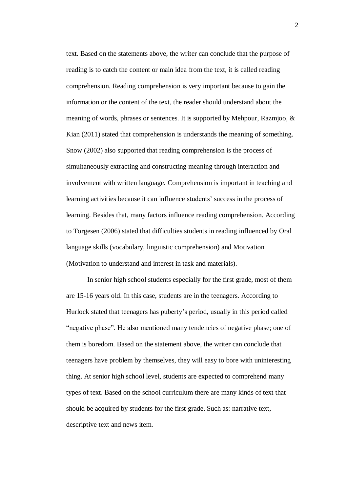text. Based on the statements above, the writer can conclude that the purpose of reading is to catch the content or main idea from the text, it is called reading comprehension. Reading comprehension is very important because to gain the information or the content of the text, the reader should understand about the meaning of words, phrases or sentences. It is supported by Mehpour, Razmjoo, & Kian (2011) stated that comprehension is understands the meaning of something. Snow (2002) also supported that reading comprehension is the process of simultaneously extracting and constructing meaning through interaction and involvement with written language. Comprehension is important in teaching and learning activities because it can influence students' success in the process of learning. Besides that, many factors influence reading comprehension. According to Torgesen (2006) stated that difficulties students in reading influenced by Oral language skills (vocabulary, linguistic comprehension) and Motivation (Motivation to understand and interest in task and materials).

In senior high school students especially for the first grade, most of them are 15-16 years old. In this case, students are in the teenagers. According to Hurlock stated that teenagers has puberty's period, usually in this period called "negative phase". He also mentioned many tendencies of negative phase; one of them is boredom. Based on the statement above, the writer can conclude that teenagers have problem by themselves, they will easy to bore with uninteresting thing. At senior high school level, students are expected to comprehend many types of text. Based on the school curriculum there are many kinds of text that should be acquired by students for the first grade. Such as: narrative text, descriptive text and news item.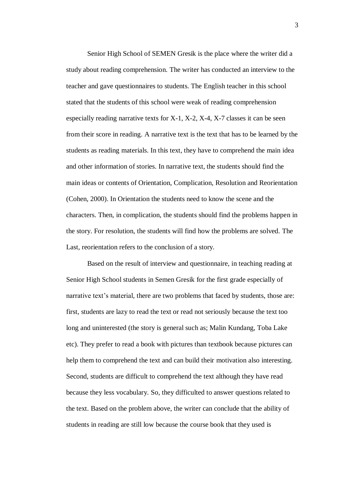Senior High School of SEMEN Gresik is the place where the writer did a study about reading comprehension. The writer has conducted an interview to the teacher and gave questionnaires to students. The English teacher in this school stated that the students of this school were weak of reading comprehension especially reading narrative texts for X-1, X-2, X-4, X-7 classes it can be seen from their score in reading. A narrative text is the text that has to be learned by the students as reading materials. In this text, they have to comprehend the main idea and other information of stories. In narrative text, the students should find the main ideas or contents of Orientation, Complication, Resolution and Reorientation (Cohen, 2000). In Orientation the students need to know the scene and the characters. Then, in complication, the students should find the problems happen in the story. For resolution, the students will find how the problems are solved. The Last, reorientation refers to the conclusion of a story.

Based on the result of interview and questionnaire, in teaching reading at Senior High School students in Semen Gresik for the first grade especially of narrative text's material, there are two problems that faced by students, those are: first, students are lazy to read the text or read not seriously because the text too long and uninterested (the story is general such as; Malin Kundang, Toba Lake etc). They prefer to read a book with pictures than textbook because pictures can help them to comprehend the text and can build their motivation also interesting. Second, students are difficult to comprehend the text although they have read because they less vocabulary. So, they difficulted to answer questions related to the text. Based on the problem above, the writer can conclude that the ability of students in reading are still low because the course book that they used is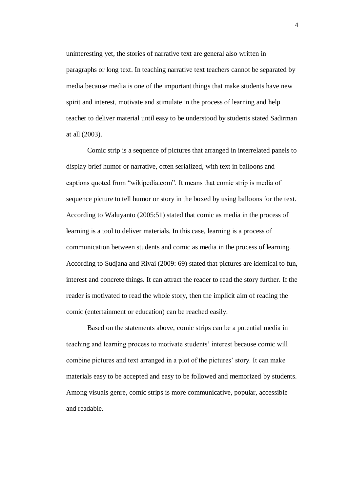uninteresting yet, the stories of narrative text are general also written in paragraphs or long text. In teaching narrative text teachers cannot be separated by media because media is one of the important things that make students have new spirit and interest, motivate and stimulate in the process of learning and help teacher to deliver material until easy to be understood by students stated Sadirman at all (2003).

Comic strip is a sequence of pictures that arranged in interrelated panels to display brief humor or narrative, often serialized, with text in balloons and captions quoted from "wikipedia.com". It means that comic strip is media of sequence picture to tell humor or story in the boxed by using balloons for the text. According to Waluyanto (2005:51) stated that comic as media in the process of learning is a tool to deliver materials. In this case, learning is a process of communication between students and comic as media in the process of learning. According to Sudjana and Rivai (2009: 69) stated that pictures are identical to fun, interest and concrete things. It can attract the reader to read the story further. If the reader is motivated to read the whole story, then the implicit aim of reading the comic (entertainment or education) can be reached easily.

Based on the statements above, comic strips can be a potential media in teaching and learning process to motivate students' interest because comic will combine pictures and text arranged in a plot of the pictures' story. It can make materials easy to be accepted and easy to be followed and memorized by students. Among visuals genre, comic strips is more communicative, popular, accessible and readable.

4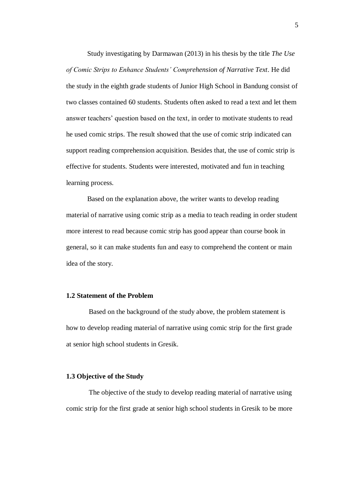Study investigating by Darmawan (2013) in his thesis by the title *The Use of Comic Strips to Enhance Students' Comprehension of Narrative Text*. He did the study in the eighth grade students of Junior High School in Bandung consist of two classes contained 60 students. Students often asked to read a text and let them answer teachers' question based on the text, in order to motivate students to read he used comic strips. The result showed that the use of comic strip indicated can support reading comprehension acquisition. Besides that, the use of comic strip is effective for students. Students were interested, motivated and fun in teaching learning process.

Based on the explanation above, the writer wants to develop reading material of narrative using comic strip as a media to teach reading in order student more interest to read because comic strip has good appear than course book in general, so it can make students fun and easy to comprehend the content or main idea of the story.

#### **1.2 Statement of the Problem**

Based on the background of the study above, the problem statement is how to develop reading material of narrative using comic strip for the first grade at senior high school students in Gresik.

#### **1.3 Objective of the Study**

The objective of the study to develop reading material of narrative using comic strip for the first grade at senior high school students in Gresik to be more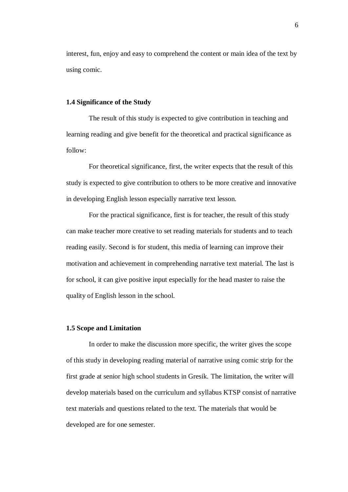interest, fun, enjoy and easy to comprehend the content or main idea of the text by using comic.

## **1.4 Significance of the Study**

The result of this study is expected to give contribution in teaching and learning reading and give benefit for the theoretical and practical significance as follow:

For theoretical significance, first, the writer expects that the result of this study is expected to give contribution to others to be more creative and innovative in developing English lesson especially narrative text lesson.

For the practical significance, first is for teacher, the result of this study can make teacher more creative to set reading materials for students and to teach reading easily. Second is for student, this media of learning can improve their motivation and achievement in comprehending narrative text material. The last is for school, it can give positive input especially for the head master to raise the quality of English lesson in the school.

### **1.5 Scope and Limitation**

In order to make the discussion more specific, the writer gives the scope of this study in developing reading material of narrative using comic strip for the first grade at senior high school students in Gresik. The limitation, the writer will develop materials based on the curriculum and syllabus KTSP consist of narrative text materials and questions related to the text. The materials that would be developed are for one semester.